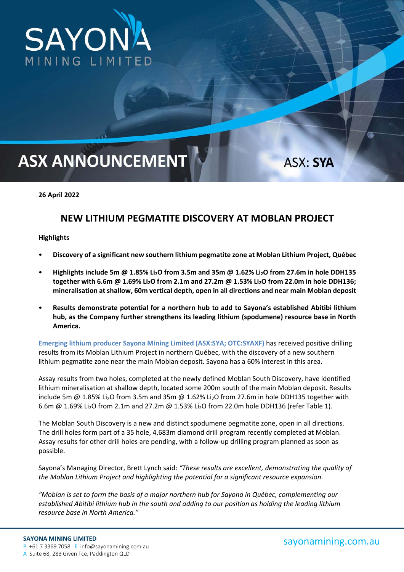

# **ASX ANNOUNCEMENT**

ASX: SYA

# **26 April 2022**

# **NEW LITHIUM PEGMATITE DISCOVERY AT MOBLAN PROJECT**

#### **Highlights**

- **Discovery of a significant new southern lithium pegmatite zone at Moblan Lithium Project, Québec**
- **Highlights include 5m @ 1.85% Li2O from 3.5m and 35m @ 1.62% Li2O from 27.6m in hole DDH135**  together with 6.6m @ 1.69% Li<sub>2</sub>O from 2.1m and 27.2m @ 1.53% Li<sub>2</sub>O from 22.0m in hole DDH136; **mineralisation at shallow, 60m vertical depth, open in all directions and near main Moblan deposit**
- **Results demonstrate potential for a northern hub to add to Sayona's established Abitibi lithium hub, as the Company further strengthens its leading lithium (spodumene) resource base in North America.**

**Emerging lithium producer Sayona Mining Limited (ASX:SYA; OTC:SYAXF)** has received positive drilling results from its Moblan Lithium Project in northern Québec, with the discovery of a new southern lithium pegmatite zone near the main Moblan deposit. Sayona has a 60% interest in this area.

Assay results from two holes, completed at the newly defined Moblan South Discovery, have identified lithium mineralisation at shallow depth, located some 200m south of the main Moblan deposit. Results include 5m @ 1.85% Li<sub>2</sub>O from 3.5m and 35m @ 1.62% Li<sub>2</sub>O from 27.6m in hole DDH135 together with 6.6m  $\omega$  1.69% Li<sub>2</sub>O from 2.1m and 27.2m  $\omega$  1.53% Li<sub>2</sub>O from 22.0m hole DDH136 (refer Table 1).

The Moblan South Discovery is a new and distinct spodumene pegmatite zone, open in all directions. The drill holes form part of a 35 hole, 4,683m diamond drill program recently completed at Moblan. Assay results for other drill holes are pending, with a follow‐up drilling program planned as soon as possible.

Sayona's Managing Director, Brett Lynch said: *"These results are excellent, demonstrating the quality of the Moblan Lithium Project and highlighting the potential for a significant resource expansion.* 

*"Moblan is set to form the basis of a major northern hub for Sayona in Québec, complementing our established Abitibi lithium hub in the south and adding to our position as holding the leading lithium resource base in North America."*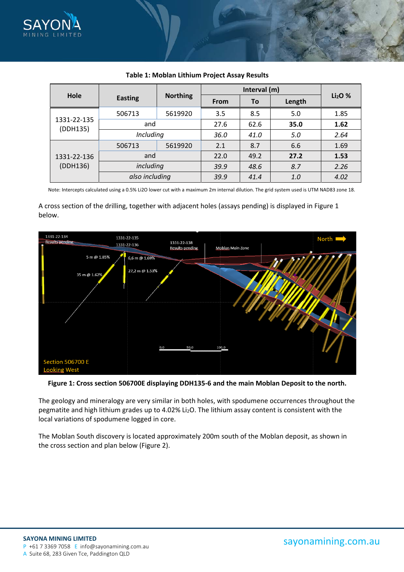

|                         |                |                 | Interval (m) |      |        |          |
|-------------------------|----------------|-----------------|--------------|------|--------|----------|
| Hole                    | <b>Easting</b> | <b>Northing</b> | <b>From</b>  | To   | Length | $Li2O$ % |
|                         | 506713         | 5619920         | 3.5          | 8.5  | 5.0    | 1.85     |
| 1331-22-135<br>(DDH135) | and            |                 | 27.6         | 62.6 | 35.0   | 1.62     |
|                         | Including      |                 | 36.0         | 41.0 | 5.0    | 2.64     |
| 1331-22-136<br>(DDH136) | 506713         | 5619920         | 2.1          | 8.7  | 6.6    | 1.69     |
|                         | and            |                 | 22.0         | 49.2 | 27.2   | 1.53     |
|                         |                | including       |              | 48.6 | 8.7    | 2.26     |
|                         | also including |                 | 39.9         | 41.4 | 1.0    | 4.02     |

# **Table 1: Moblan Lithium Project Assay Results**

Note: Intercepts calculated using a 0.5% Li2O lower cut with a maximum 2m internal dilution. The grid system used is UTM NAD83 zone 18.

# A cross section of the drilling, together with adjacent holes (assays pending) is displayed in Figure 1 below.



**Figure 1: Cross section 506700E displaying DDH135‐6 and the main Moblan Deposit to the north.** 

The geology and mineralogy are very similar in both holes, with spodumene occurrences throughout the pegmatite and high lithium grades up to 4.02% Li<sub>2</sub>O. The lithium assay content is consistent with the local variations of spodumene logged in core.

The Moblan South discovery is located approximately 200m south of the Moblan deposit, as shown in the cross section and plan below (Figure 2).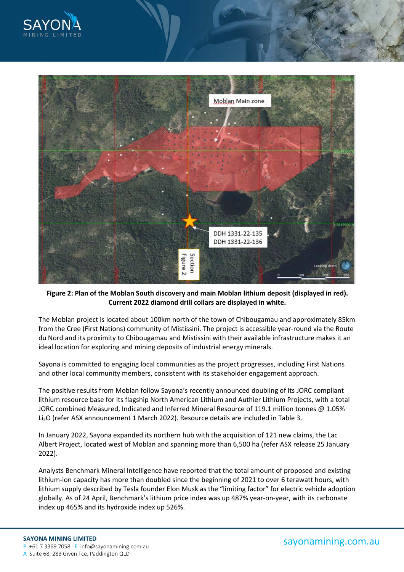



**Figure 2: Plan of the Moblan South discovery and main Moblan lithium deposit (displayed in red). Current 2022 diamond drill collars are displayed in white.** 

The Moblan project is located about 100km north of the town of Chibougamau and approximately 85km from the Cree (First Nations) community of Mistissini. The project is accessible year-round via the Route du Nord and its proximity to Chibougamau and Mistissini with their available infrastructure makes it an ideal location for exploring and mining deposits of industrial energy minerals.

Sayona is committed to engaging local communities as the project progresses, including First Nations and other local community members, consistent with its stakeholder engagement approach.

The positive results from Moblan follow Sayona's recently announced doubling of its JORC compliant lithium resource base for its flagship North American Lithium and Authier Lithium Projects, with a total JORC combined Measured, Indicated and Inferred Mineral Resource of 119.1 million tonnes @ 1.05% Li2O (refer ASX announcement 1 March 2022). Resource details are included in Table 3.

In January 2022, Sayona expanded its northern hub with the acquisition of 121 new claims, the Lac Albert Project, located west of Moblan and spanning more than 6,500 ha (refer ASX release 25 January 2022).

Analysts Benchmark Mineral Intelligence have reported that the total amount of proposed and existing lithium-ion capacity has more than doubled since the beginning of 2021 to over 6 terawatt hours, with lithium supply described by Tesla founder Elon Musk as the "limiting factor" for electric vehicle adoption globally. As of 24 April, Benchmark's lithium price index was up 487% year-on-year, with its carbonate index up 465% and its hydroxide index up 526%.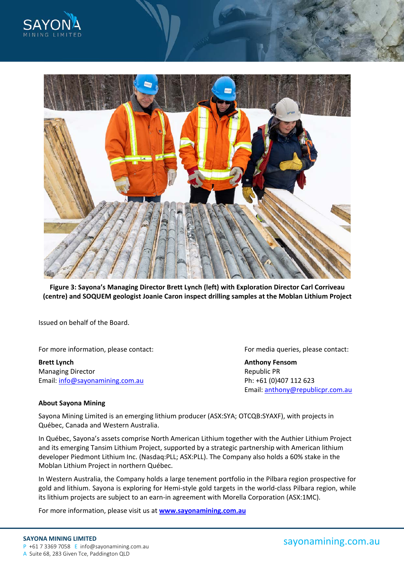



**Figure 3: Sayona's Managing Director Brett Lynch (left) with Exploration Director Carl Corriveau (centre) and SOQUEM geologist Joanie Caron inspect drilling samples at the Moblan Lithium Project** 

Issued on behalf of the Board.

For more information, please contact: **Example 20 For media queries**, please contact:

**Brett Lynch Anthony Fensom**  Managing Director *Managing Director*  **1996 1997 1998 1998 1998 1998 1998 1998 1998 1999 1999 1999 1999 1999 1999 1999 1999 1999 1999 1999 1999 1999 1999** Email: info@sayonamining.com.au Ph: +61 (0)407 112 623

Email: anthony@republicpr.com.au

# **About Sayona Mining**

Sayona Mining Limited is an emerging lithium producer (ASX:SYA; OTCQB:SYAXF), with projects in Québec, Canada and Western Australia.

In Québec, Sayona's assets comprise North American Lithium together with the Authier Lithium Project and its emerging Tansim Lithium Project, supported by a strategic partnership with American lithium developer Piedmont Lithium Inc. (Nasdaq:PLL; ASX:PLL). The Company also holds a 60% stake in the Moblan Lithium Project in northern Québec.

In Western Australia, the Company holds a large tenement portfolio in the Pilbara region prospective for gold and lithium. Sayona is exploring for Hemi‐style gold targets in the world‐class Pilbara region, while its lithium projects are subject to an earn‐in agreement with Morella Corporation (ASX:1MC).

For more information, please visit us at **www.sayonamining.com.au**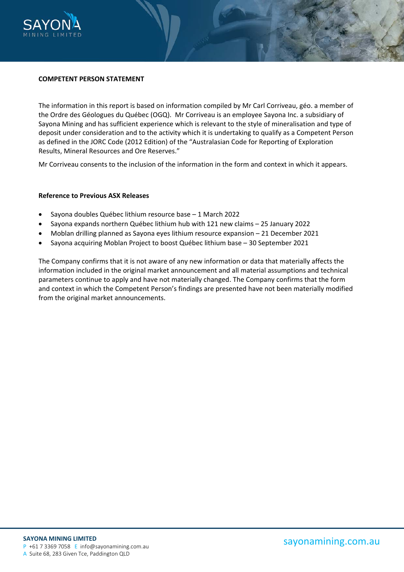

#### **COMPETENT PERSON STATEMENT**

The information in this report is based on information compiled by Mr Carl Corriveau, géo. a member of the Ordre des Géologues du Québec (OGQ). Mr Corriveau is an employee Sayona Inc. a subsidiary of Sayona Mining and has sufficient experience which is relevant to the style of mineralisation and type of deposit under consideration and to the activity which it is undertaking to qualify as a Competent Person as defined in the JORC Code (2012 Edition) of the "Australasian Code for Reporting of Exploration Results, Mineral Resources and Ore Reserves."

Mr Corriveau consents to the inclusion of the information in the form and context in which it appears.

#### **Reference to Previous ASX Releases**

- Sayona doubles Québec lithium resource base 1 March 2022
- Sayona expands northern Québec lithium hub with 121 new claims 25 January 2022
- Moblan drilling planned as Sayona eyes lithium resource expansion 21 December 2021
- Sayona acquiring Moblan Project to boost Québec lithium base 30 September 2021

The Company confirms that it is not aware of any new information or data that materially affects the information included in the original market announcement and all material assumptions and technical parameters continue to apply and have not materially changed. The Company confirms that the form and context in which the Competent Person's findings are presented have not been materially modified from the original market announcements.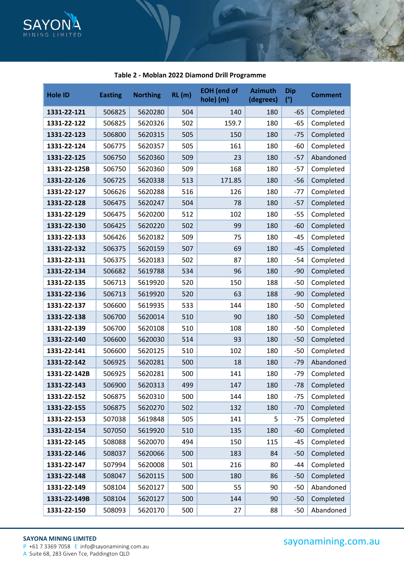

| <b>Hole ID</b> | <b>Easting</b> | <b>Northing</b> | RL(m) | <b>EOH</b> (end of<br>hole) (m) | <b>Azimuth</b><br>(degrees) | <b>Dip</b><br>(°) | <b>Comment</b> |
|----------------|----------------|-----------------|-------|---------------------------------|-----------------------------|-------------------|----------------|
| 1331-22-121    | 506825         | 5620280         | 504   | 140                             | 180                         | -65               | Completed      |
| 1331-22-122    | 506825         | 5620326         | 502   | 159.7                           | 180                         | $-65$             | Completed      |
| 1331-22-123    | 506800         | 5620315         | 505   | 150                             | 180                         | $-75$             | Completed      |
| 1331-22-124    | 506775         | 5620357         | 505   | 161                             | 180                         | $-60$             | Completed      |
| 1331-22-125    | 506750         | 5620360         | 509   | 23                              | 180                         | $-57$             | Abandoned      |
| 1331-22-125B   | 506750         | 5620360         | 509   | 168                             | 180                         | -57               | Completed      |
| 1331-22-126    | 506725         | 5620338         | 513   | 171.85                          | 180                         | $-56$             | Completed      |
| 1331-22-127    | 506626         | 5620288         | 516   | 126                             | 180                         | $-77$             | Completed      |
| 1331-22-128    | 506475         | 5620247         | 504   | 78                              | 180                         | $-57$             | Completed      |
| 1331-22-129    | 506475         | 5620200         | 512   | 102                             | 180                         | $-55$             | Completed      |
| 1331-22-130    | 506425         | 5620220         | 502   | 99                              | 180                         | $-60$             | Completed      |
| 1331-22-133    | 506426         | 5620182         | 509   | 75                              | 180                         | $-45$             | Completed      |
| 1331-22-132    | 506375         | 5620159         | 507   | 69                              | 180                         | $-45$             | Completed      |
| 1331-22-131    | 506375         | 5620183         | 502   | 87                              | 180                         | $-54$             | Completed      |
| 1331-22-134    | 506682         | 5619788         | 534   | 96                              | 180                         | $-90$             | Completed      |
| 1331-22-135    | 506713         | 5619920         | 520   | 150                             | 188                         | $-50$             | Completed      |
| 1331-22-136    | 506713         | 5619920         | 520   | 63                              | 188                         | $-90$             | Completed      |
| 1331-22-137    | 506600         | 5619935         | 533   | 144                             | 180                         | $-50$             | Completed      |
| 1331-22-138    | 506700         | 5620014         | 510   | 90                              | 180                         | $-50$             | Completed      |
| 1331-22-139    | 506700         | 5620108         | 510   | 108                             | 180                         | $-50$             | Completed      |
| 1331-22-140    | 506600         | 5620030         | 514   | 93                              | 180                         | $-50$             | Completed      |
| 1331-22-141    | 506600         | 5620125         | 510   | 102                             | 180                         | $-50$             | Completed      |
| 1331-22-142    | 506925         | 5620281         | 500   | 18                              | 180                         | $-79$             | Abandoned      |
| 1331-22-142B   | 506925         | 5620281         | 500   | 141                             | 180                         | $-79$             | Completed      |
| 1331-22-143    | 506900         | 5620313         | 499   | 147                             | 180                         | $-78$             | Completed      |
| 1331-22-152    | 506875         | 5620310         | 500   | 144                             | 180                         | $-75$             | Completed      |
| 1331-22-155    | 506875         | 5620270         | 502   | 132                             | 180                         | $-70$             | Completed      |
| 1331-22-153    | 507038         | 5619848         | 505   | 141                             | 5                           | $-75$             | Completed      |
| 1331-22-154    | 507050         | 5619920         | 510   | 135                             | 180                         | $-60$             | Completed      |
| 1331-22-145    | 508088         | 5620070         | 494   | 150                             | 115                         | $-45$             | Completed      |
| 1331-22-146    | 508037         | 5620066         | 500   | 183                             | 84                          | $-50$             | Completed      |
| 1331-22-147    | 507994         | 5620008         | 501   | 216                             | 80                          | $-44$             | Completed      |
| 1331-22-148    | 508047         | 5620115         | 500   | 180                             | 86                          | $-50$             | Completed      |
| 1331-22-149    | 508104         | 5620127         | 500   | 55                              | 90                          | $-50$             | Abandoned      |
| 1331-22-149B   | 508104         | 5620127         | 500   | 144                             | 90                          | $-50$             | Completed      |
| 1331-22-150    | 508093         | 5620170         | 500   | 27                              | 88                          | $-50$             | Abandoned      |

# **Table 2 ‐ Moblan 2022 Diamond Drill Programme**

#### **SAYONA MINING LIMITED**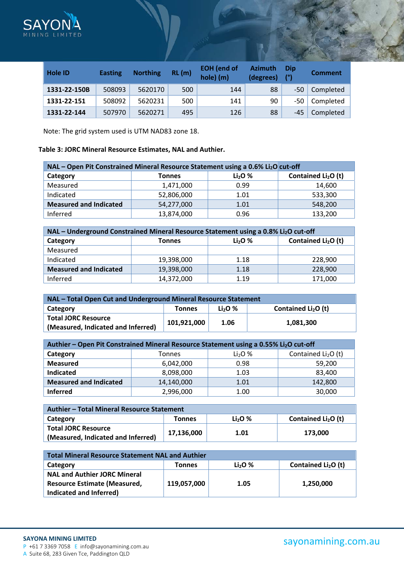

| <b>Hole ID</b> | <b>Easting</b> | <b>Northing</b> | RL(m) | <b>EOH</b> (end of<br>hole) (m) | <b>Azimuth</b><br>(degrees) | Dip<br>(°) | <b>Comment</b> |
|----------------|----------------|-----------------|-------|---------------------------------|-----------------------------|------------|----------------|
| 1331-22-150B   | 508093         | 5620170         | 500   | 144                             | 88                          | -50        | Completed      |
| 1331-22-151    | 508092         | 5620231         | 500   | 141                             | 90                          | -50        | Completed      |
| 1331-22-144    | 507970         | 5620271         | 495   | 126                             | 88                          | -45        | Completed      |

Note: The grid system used is UTM NAD83 zone 18.

# **Table 3: JORC Mineral Resource Estimates, NAL and Authier.**

| NAL - Open Pit Constrained Mineral Resource Statement using a 0.6% Li <sub>2</sub> O cut-off |               |          |                                 |
|----------------------------------------------------------------------------------------------|---------------|----------|---------------------------------|
| Category                                                                                     | <b>Tonnes</b> | $Li2O$ % | Contained Li <sub>2</sub> O (t) |
| Measured                                                                                     | 1,471,000     | 0.99     | 14,600                          |
| Indicated                                                                                    | 52,806,000    | 1.01     | 533,300                         |
| <b>Measured and Indicated</b>                                                                | 54,277,000    | 1.01     | 548,200                         |
| Inferred                                                                                     | 13,874,000    | 0.96     | 133,200                         |

| NAL - Underground Constrained Mineral Resource Statement using a 0.8% Li <sub>2</sub> O cut-off |               |                                |                                 |  |
|-------------------------------------------------------------------------------------------------|---------------|--------------------------------|---------------------------------|--|
| Category                                                                                        | <b>Tonnes</b> | Li <sub>2</sub> O <sub>2</sub> | Contained Li <sub>2</sub> O (t) |  |
| Measured                                                                                        |               |                                |                                 |  |
| Indicated                                                                                       | 19,398,000    | 1.18                           | 228,900                         |  |
| <b>Measured and Indicated</b>                                                                   | 19,398,000    | 1.18                           | 228,900                         |  |
| Inferred                                                                                        | 14,372,000    | 1.19                           | 171,000                         |  |

| NAL – Total Open Cut and Underground Mineral Resource Statement                     |  |  |  |  |  |
|-------------------------------------------------------------------------------------|--|--|--|--|--|
| Contained $Li2O$ (t)<br>Li <sub>2</sub> O <sub>2</sub><br>Category<br><b>Tonnes</b> |  |  |  |  |  |
| <b>Total JORC Resource</b>                                                          |  |  |  |  |  |
| 101,921,000<br>1.06<br>1.081.300<br>(Measured, Indicated and Inferred)              |  |  |  |  |  |

| Authier – Open Pit Constrained Mineral Resource Statement using a 0.55% Li <sub>2</sub> O cut-off |               |          |                      |  |  |
|---------------------------------------------------------------------------------------------------|---------------|----------|----------------------|--|--|
| Category                                                                                          | <b>Tonnes</b> | $Li2O$ % | Contained $Li2O$ (t) |  |  |
| <b>Measured</b>                                                                                   | 6,042,000     | 0.98     | 59,200               |  |  |
| <b>Indicated</b>                                                                                  | 8,098,000     | 1.03     | 83,400               |  |  |
| <b>Measured and Indicated</b>                                                                     | 14,140,000    | 1.01     | 142,800              |  |  |
| <b>Inferred</b>                                                                                   | 2,996,000     | 1.00     | 30,000               |  |  |

| Authier – Total Mineral Resource Statement                       |            |           |                                 |
|------------------------------------------------------------------|------------|-----------|---------------------------------|
| Category                                                         | Tonnes     | $Li2O2$ % | Contained Li <sub>2</sub> O (t) |
| <b>Total JORC Resource</b><br>(Measured, Indicated and Inferred) | 17,136,000 | 1.01      | 173,000                         |

| <b>Total Mineral Resource Statement NAL and Authier</b> |               |           |                      |  |
|---------------------------------------------------------|---------------|-----------|----------------------|--|
| Category                                                | <b>Tonnes</b> | $Li2O2$ % | Contained $Li2O$ (t) |  |
| <b>NAL and Authier JORC Mineral</b>                     |               |           |                      |  |
| <b>Resource Estimate (Measured,</b>                     | 119,057,000   | 1.05      | 1,250,000            |  |
| Indicated and Inferred)                                 |               |           |                      |  |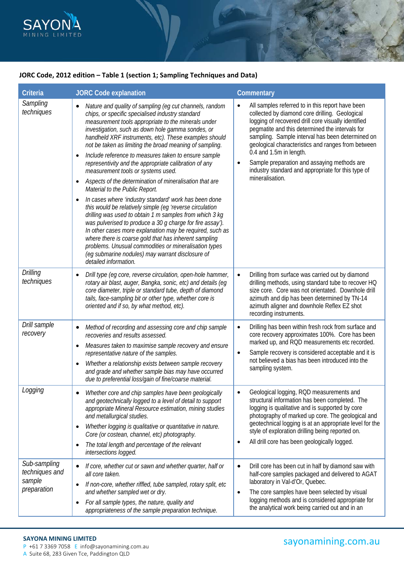

# **JORC Code, 2012 edition – Table 1 (section 1; Sampling Techniques and Data)**

| Criteria                                                | <b>JORC Code explanation</b>                                                                                                                                                                                                                                                                                                                                                                                                                                                                                                                                                                                                                                                                                                                                                                                                                                                                                                                                                                                                                                                                                         | Commentary                                                                                                                                                                                                                                                                                                                                                                                                                                                                             |
|---------------------------------------------------------|----------------------------------------------------------------------------------------------------------------------------------------------------------------------------------------------------------------------------------------------------------------------------------------------------------------------------------------------------------------------------------------------------------------------------------------------------------------------------------------------------------------------------------------------------------------------------------------------------------------------------------------------------------------------------------------------------------------------------------------------------------------------------------------------------------------------------------------------------------------------------------------------------------------------------------------------------------------------------------------------------------------------------------------------------------------------------------------------------------------------|----------------------------------------------------------------------------------------------------------------------------------------------------------------------------------------------------------------------------------------------------------------------------------------------------------------------------------------------------------------------------------------------------------------------------------------------------------------------------------------|
| Sampling<br>techniques                                  | Nature and quality of sampling (eg cut channels, random<br>chips, or specific specialised industry standard<br>measurement tools appropriate to the minerals under<br>investigation, such as down hole gamma sondes, or<br>handheld XRF instruments, etc). These examples should<br>not be taken as limiting the broad meaning of sampling.<br>Include reference to measures taken to ensure sample<br>representivity and the appropriate calibration of any<br>measurement tools or systems used.<br>Aspects of the determination of mineralisation that are<br>$\bullet$<br>Material to the Public Report.<br>In cases where 'industry standard' work has been done<br>this would be relatively simple (eg 'reverse circulation<br>drilling was used to obtain 1 m samples from which 3 kg<br>was pulverised to produce a 30 g charge for fire assay').<br>In other cases more explanation may be required, such as<br>where there is coarse gold that has inherent sampling<br>problems. Unusual commodities or mineralisation types<br>(eg submarine nodules) may warrant disclosure of<br>detailed information. | All samples referred to in this report have been<br>$\bullet$<br>collected by diamond core drilling. Geological<br>logging of recovered drill core visually identified<br>pegmatite and this determined the intervals for<br>sampling. Sample interval has been determined on<br>geological characteristics and ranges from between<br>0.4 and 1.5m in length.<br>Sample preparation and assaying methods are<br>industry standard and appropriate for this type of<br>mineralisation. |
| <b>Drilling</b><br>techniques                           | Drill type (eg core, reverse circulation, open-hole hammer,<br>$\bullet$<br>rotary air blast, auger, Bangka, sonic, etc) and details (eg<br>core diameter, triple or standard tube, depth of diamond<br>tails, face-sampling bit or other type, whether core is<br>oriented and if so, by what method, etc).                                                                                                                                                                                                                                                                                                                                                                                                                                                                                                                                                                                                                                                                                                                                                                                                         | Drilling from surface was carried out by diamond<br>$\bullet$<br>drilling methods, using standard tube to recover HQ<br>size core. Core was not orientated. Downhole drill<br>azimuth and dip has been determined by TN-14<br>azimuth aligner and downhole Reflex EZ shot<br>recording instruments.                                                                                                                                                                                    |
| Drill sample<br>recovery                                | Method of recording and assessing core and chip sample<br>٠<br>recoveries and results assessed.<br>Measures taken to maximise sample recovery and ensure<br>$\bullet$<br>representative nature of the samples.<br>Whether a relationship exists between sample recovery<br>and grade and whether sample bias may have occurred<br>due to preferential loss/gain of fine/coarse material.                                                                                                                                                                                                                                                                                                                                                                                                                                                                                                                                                                                                                                                                                                                             | Drilling has been within fresh rock from surface and<br>$\bullet$<br>core recovery approximates 100%. Core has been<br>marked up, and RQD measurements etc recorded.<br>Sample recovery is considered acceptable and it is<br>$\bullet$<br>not believed a bias has been introduced into the<br>sampling system.                                                                                                                                                                        |
| Logging                                                 | Whether core and chip samples have been geologically<br>and geotechnically logged to a level of detail to support<br>appropriate Mineral Resource estimation, mining studies<br>and metallurgical studies.<br>Whether logging is qualitative or quantitative in nature.<br>Core (or costean, channel, etc) photography.<br>The total length and percentage of the relevant<br>٠<br>intersections logged.                                                                                                                                                                                                                                                                                                                                                                                                                                                                                                                                                                                                                                                                                                             | Geological logging, RQD measurements and<br>structural information has been completed. The<br>logging is qualitative and is supported by core<br>photography of marked up core. The geological and<br>geotechnical logging is at an appropriate level for the<br>style of exploration drilling being reported on.<br>All drill core has been geologically logged.                                                                                                                      |
| Sub-sampling<br>techniques and<br>sample<br>preparation | If core, whether cut or sawn and whether quarter, half or<br>$\bullet$<br>all core taken.<br>If non-core, whether riffled, tube sampled, rotary split, etc<br>$\bullet$<br>and whether sampled wet or dry.<br>For all sample types, the nature, quality and<br>٠<br>appropriateness of the sample preparation technique.                                                                                                                                                                                                                                                                                                                                                                                                                                                                                                                                                                                                                                                                                                                                                                                             | Drill core has been cut in half by diamond saw with<br>$\bullet$<br>half-core samples packaged and delivered to AGAT<br>laboratory in Val-d'Or, Quebec.<br>The core samples have been selected by visual<br>$\bullet$<br>logging methods and is considered appropriate for<br>the analytical work being carried out and in an                                                                                                                                                          |

# **SAYONA MINING LIMITED**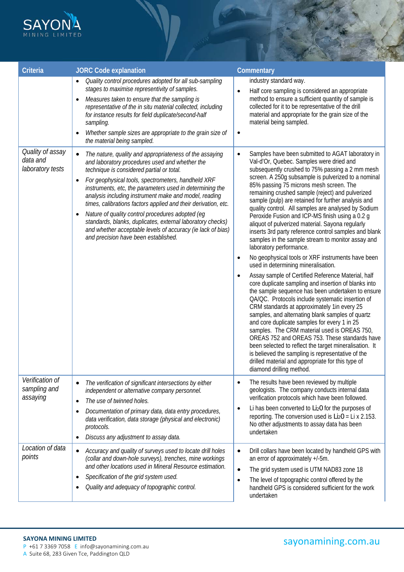

| <b>Criteria</b>                                  | <b>JORC Code explanation</b>                                                                                                                                                                                                                                                                                                                                                                                                                                                                                                                                                                                                                                        | Commentary                                                                                                                                                                                                                                                                                                                                                                                                                                                                                                                                                                                                                                                                                                                                                                                                                                                                                                                                                                                                                                                                                                                                                                                                                                                                                                                                                                                                                                                                         |
|--------------------------------------------------|---------------------------------------------------------------------------------------------------------------------------------------------------------------------------------------------------------------------------------------------------------------------------------------------------------------------------------------------------------------------------------------------------------------------------------------------------------------------------------------------------------------------------------------------------------------------------------------------------------------------------------------------------------------------|------------------------------------------------------------------------------------------------------------------------------------------------------------------------------------------------------------------------------------------------------------------------------------------------------------------------------------------------------------------------------------------------------------------------------------------------------------------------------------------------------------------------------------------------------------------------------------------------------------------------------------------------------------------------------------------------------------------------------------------------------------------------------------------------------------------------------------------------------------------------------------------------------------------------------------------------------------------------------------------------------------------------------------------------------------------------------------------------------------------------------------------------------------------------------------------------------------------------------------------------------------------------------------------------------------------------------------------------------------------------------------------------------------------------------------------------------------------------------------|
|                                                  | Quality control procedures adopted for all sub-sampling<br>stages to maximise representivity of samples.<br>Measures taken to ensure that the sampling is<br>$\bullet$<br>representative of the in situ material collected, including<br>for instance results for field duplicate/second-half<br>sampling.<br>Whether sample sizes are appropriate to the grain size of<br>the material being sampled.                                                                                                                                                                                                                                                              | industry standard way.<br>Half core sampling is considered an appropriate<br>$\bullet$<br>method to ensure a sufficient quantity of sample is<br>collected for it to be representative of the drill<br>material and appropriate for the grain size of the<br>material being sampled.<br>$\bullet$                                                                                                                                                                                                                                                                                                                                                                                                                                                                                                                                                                                                                                                                                                                                                                                                                                                                                                                                                                                                                                                                                                                                                                                  |
| Quality of assay<br>data and<br>laboratory tests | The nature, quality and appropriateness of the assaying<br>$\bullet$<br>and laboratory procedures used and whether the<br>technique is considered partial or total.<br>For geophysical tools, spectrometers, handheld XRF<br>$\bullet$<br>instruments, etc, the parameters used in determining the<br>analysis including instrument make and model, reading<br>times, calibrations factors applied and their derivation, etc.<br>Nature of quality control procedures adopted (eg<br>$\bullet$<br>standards, blanks, duplicates, external laboratory checks)<br>and whether acceptable levels of accuracy (ie lack of bias)<br>and precision have been established. | Samples have been submitted to AGAT laboratory in<br>$\bullet$<br>Val-d'Or, Quebec. Samples were dried and<br>subsequently crushed to 75% passing a 2 mm mesh<br>screen. A 250g subsample is pulverized to a nominal<br>85% passing 75 microns mesh screen. The<br>remaining crushed sample (reject) and pulverized<br>sample (pulp) are retained for further analysis and<br>quality control. All samples are analysed by Sodium<br>Peroxide Fusion and ICP-MS finish using a 0.2 g<br>aliquot of pulverized material. Sayona regularly<br>inserts 3rd party reference control samples and blank<br>samples in the sample stream to monitor assay and<br>laboratory performance.<br>No geophysical tools or XRF instruments have been<br>$\bullet$<br>used in determining mineralisation.<br>Assay sample of Certified Reference Material, half<br>$\bullet$<br>core duplicate sampling and insertion of blanks into<br>the sample sequence has been undertaken to ensure<br>QA/QC. Protocols include systematic insertion of<br>CRM standards at approximately 1in every 25<br>samples, and alternating blank samples of quartz<br>and core duplicate samples for every 1 in 25<br>samples. The CRM material used is OREAS 750,<br>OREAS 752 and OREAS 753. These standards have<br>been selected to reflect the target mineralisation. It<br>is believed the sampling is representative of the<br>drilled material and appropriate for this type of<br>diamond drilling method. |
| Verification of<br>sampling and<br>assaying      | The verification of significant intersections by either<br>$\bullet$<br>independent or alternative company personnel.<br>The use of twinned holes.<br>$\bullet$<br>Documentation of primary data, data entry procedures,<br>٠<br>data verification, data storage (physical and electronic)<br>protocols.<br>Discuss any adjustment to assay data.                                                                                                                                                                                                                                                                                                                   | The results have been reviewed by multiple<br>$\bullet$<br>geologists. The company conducts internal data<br>verification protocols which have been followed.<br>Li has been converted to Li <sub>2</sub> O for the purposes of<br>$\bullet$<br>reporting. The conversion used is $Li_2O = Li \times 2.153$ .<br>No other adjustments to assay data has been<br>undertaken                                                                                                                                                                                                                                                                                                                                                                                                                                                                                                                                                                                                                                                                                                                                                                                                                                                                                                                                                                                                                                                                                                         |
| Location of data<br>points                       | Accuracy and quality of surveys used to locate drill holes<br>$\bullet$<br>(collar and down-hole surveys), trenches, mine workings<br>and other locations used in Mineral Resource estimation.<br>Specification of the grid system used.<br>٠<br>Quality and adequacy of topographic control.<br>٠                                                                                                                                                                                                                                                                                                                                                                  | Drill collars have been located by handheld GPS with<br>$\bullet$<br>an error of approximately +/-5m.<br>The grid system used is UTM NAD83 zone 18<br>$\bullet$<br>The level of topographic control offered by the<br>$\bullet$<br>handheld GPS is considered sufficient for the work<br>undertaken                                                                                                                                                                                                                                                                                                                                                                                                                                                                                                                                                                                                                                                                                                                                                                                                                                                                                                                                                                                                                                                                                                                                                                                |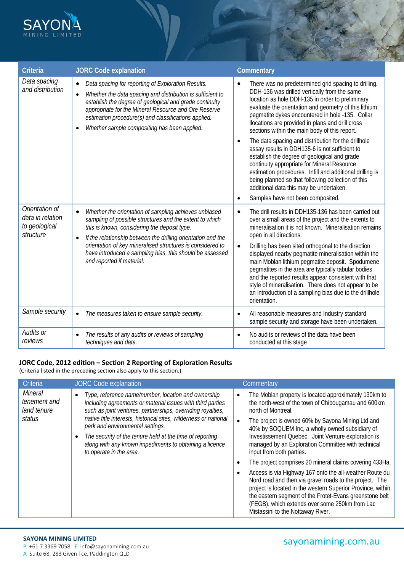

| <b>Criteria</b>                                                  | <b>JORC Code explanation</b>                                                                                                                                                                                                                                                                                                                                                                                      | Commentary                                                                                                                                                                                                                                                                                                                                                                                                                                                                                                                                                                                                                                                                                                                                                                                        |
|------------------------------------------------------------------|-------------------------------------------------------------------------------------------------------------------------------------------------------------------------------------------------------------------------------------------------------------------------------------------------------------------------------------------------------------------------------------------------------------------|---------------------------------------------------------------------------------------------------------------------------------------------------------------------------------------------------------------------------------------------------------------------------------------------------------------------------------------------------------------------------------------------------------------------------------------------------------------------------------------------------------------------------------------------------------------------------------------------------------------------------------------------------------------------------------------------------------------------------------------------------------------------------------------------------|
| Data spacing<br>and distribution                                 | Data spacing for reporting of Exploration Results.<br>$\bullet$<br>Whether the data spacing and distribution is sufficient to<br>$\bullet$<br>establish the degree of geological and grade continuity<br>appropriate for the Mineral Resource and Ore Reserve<br>estimation procedure(s) and classifications applied.<br>Whether sample compositing has been applied.                                             | There was no predetermined grid spacing to drilling.<br>$\bullet$<br>DDH-136 was drilled vertically from the same<br>location as hole DDH-135 in order to preliminary<br>evaluate the orientation and geometry of this lithium<br>pegmatite dykes encountered in hole -135. Collar<br>llocations are provided in plans and drill cross<br>sections within the main body of this report.<br>The data spacing and distribution for the drillhole<br>assay results in DDH135-6 is not sufficient to<br>establish the degree of geological and grade<br>continuity appropriate for Mineral Resource<br>estimation procedures. Infill and additional drilling is<br>being planned so that following collection of this<br>additional data this may be undertaken.<br>Samples have not been composited. |
| Orientation of<br>data in relation<br>to geological<br>structure | Whether the orientation of sampling achieves unbiased<br>$\bullet$<br>sampling of possible structures and the extent to which<br>this is known, considering the deposit type.<br>If the relationship between the drilling orientation and the<br>$\bullet$<br>orientation of key mineralised structures is considered to<br>have introduced a sampling bias, this should be assessed<br>and reported if material. | The drill results in DDH135-136 has been carried out<br>$\bullet$<br>over a small areas of the project and the extents to<br>mineralisation it is not known. Mineralisation remains<br>open in all directions.<br>Drilling has been sited orthogonal to the direction<br>$\bullet$<br>displayed nearby pegmatite mineralisation within the<br>main Moblan lithium pegmatite deposit. Spodumene<br>pegmatites in the area are typically tabular bodies<br>and the reported results appear consistent with that<br>style of mineralisation. There does not appear to be<br>an introduction of a sampling bias due to the drillhole<br>orientation.                                                                                                                                                  |
| Sample security                                                  | The measures taken to ensure sample security.<br>$\bullet$                                                                                                                                                                                                                                                                                                                                                        | All reasonable measures and Industry standard<br>$\bullet$<br>sample security and storage have been undertaken.                                                                                                                                                                                                                                                                                                                                                                                                                                                                                                                                                                                                                                                                                   |
| Audits or<br>reviews                                             | The results of any audits or reviews of sampling<br>$\bullet$<br>techniques and data.                                                                                                                                                                                                                                                                                                                             | No audits or reviews of the data have been<br>conducted at this stage                                                                                                                                                                                                                                                                                                                                                                                                                                                                                                                                                                                                                                                                                                                             |

# **JORC Code, 2012 edition – Section 2 Reporting of Exploration Results**

(Criteria listed in the preceding section also apply to this section.)

| Criteria                                                | <b>JORC Code explanation</b>                                                                                                                                                                                                                                                                                                                                                                                                                                         | Commentary                                                                                                                                                                                                                                                                                                                          |
|---------------------------------------------------------|----------------------------------------------------------------------------------------------------------------------------------------------------------------------------------------------------------------------------------------------------------------------------------------------------------------------------------------------------------------------------------------------------------------------------------------------------------------------|-------------------------------------------------------------------------------------------------------------------------------------------------------------------------------------------------------------------------------------------------------------------------------------------------------------------------------------|
| <b>Mineral</b><br>tenement and<br>land tenure<br>status | Type, reference name/number, location and ownership<br>$\bullet$<br>including agreements or material issues with third parties<br>such as joint ventures, partnerships, overriding royalties,<br>native title interests, historical sites, wilderness or national<br>park and environmental settings.<br>The security of the tenure held at the time of reporting<br>$\bullet$<br>along with any known impediments to obtaining a licence<br>to operate in the area. | The Moblan property is located approximately 130km to<br>$\bullet$<br>the north-west of the town of Chibougamau and 600km<br>north of Montreal.                                                                                                                                                                                     |
|                                                         |                                                                                                                                                                                                                                                                                                                                                                                                                                                                      | The project is owned 60% by Sayona Mining Ltd and<br>40% by SOQUEM Inc, a wholly owned subsidiary of                                                                                                                                                                                                                                |
|                                                         |                                                                                                                                                                                                                                                                                                                                                                                                                                                                      | Investissement Quebec. Joint Venture exploration is<br>managed by an Exploration Committee with technical<br>input from both parties.                                                                                                                                                                                               |
|                                                         |                                                                                                                                                                                                                                                                                                                                                                                                                                                                      | The project comprises 20 mineral claims covering 433Ha.                                                                                                                                                                                                                                                                             |
|                                                         |                                                                                                                                                                                                                                                                                                                                                                                                                                                                      | Access is via Highway 167 onto the all-weather Route du<br>Nord road and then via gravel roads to the project. The<br>project is located in the western Superior Province, within<br>the eastern segment of the Frotet-Evans greenstone belt<br>(FEGB), which extends over some 250km from Lac<br>Mistassini to the Nottaway River. |

# sayonamining.com.au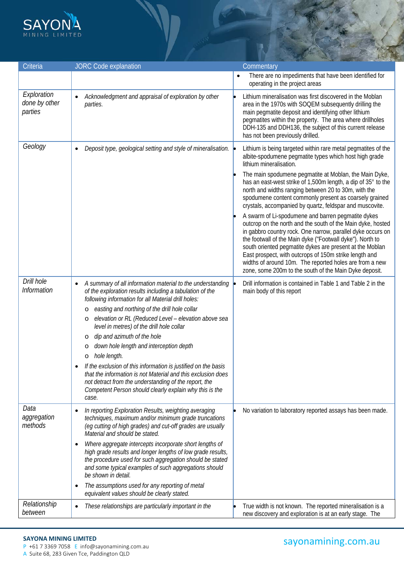

| Criteria                                | <b>JORC Code explanation</b>                                                                                                                                                                                                                                                    |           | Commentary                                                                                                                                                                                                                                                                                                                                                                                                                                                                               |
|-----------------------------------------|---------------------------------------------------------------------------------------------------------------------------------------------------------------------------------------------------------------------------------------------------------------------------------|-----------|------------------------------------------------------------------------------------------------------------------------------------------------------------------------------------------------------------------------------------------------------------------------------------------------------------------------------------------------------------------------------------------------------------------------------------------------------------------------------------------|
|                                         |                                                                                                                                                                                                                                                                                 | $\bullet$ | There are no impediments that have been identified for<br>operating in the project areas                                                                                                                                                                                                                                                                                                                                                                                                 |
| Exploration<br>done by other<br>parties | Acknowledgment and appraisal of exploration by other<br>$\bullet$<br>parties.                                                                                                                                                                                                   |           | Lithium mineralisation was first discovered in the Moblan<br>area in the 1970s with SOQEM subsequently drilling the<br>main pegmatite deposit and identifying other lithium<br>pegmatites within the property. The area where drillholes<br>DDH-135 and DDH136, the subject of this current release<br>has not been previously drilled.                                                                                                                                                  |
| Geology                                 | Deposit type, geological setting and style of mineralisation.<br>$\bullet$                                                                                                                                                                                                      |           | Lithium is being targeted within rare metal pegmatites of the<br>albite-spodumene pegmatite types which host high grade<br>lithium mineralisation.                                                                                                                                                                                                                                                                                                                                       |
|                                         |                                                                                                                                                                                                                                                                                 |           | The main spodumene pegmatite at Moblan, the Main Dyke,<br>has an east-west strike of 1,500m length, a dip of 35° to the<br>north and widths ranging between 20 to 30m, with the<br>spodumene content commonly present as coarsely grained<br>crystals, accompanied by quartz, feldspar and muscovite.                                                                                                                                                                                    |
|                                         |                                                                                                                                                                                                                                                                                 |           | A swarm of Li-spodumene and barren pegmatite dykes<br>outcrop on the north and the south of the Main dyke, hosted<br>in gabbro country rock. One narrow, parallel dyke occurs on<br>the footwall of the Main dyke ("Footwall dyke"). North to<br>south oriented pegmatite dykes are present at the Moblan<br>East prospect, with outcrops of 150m strike length and<br>widths of around 10m. The reported holes are from a new<br>zone, some 200m to the south of the Main Dyke deposit. |
| Drill hole<br><b>Information</b>        | A summary of all information material to the understanding $\vert \bullet \vert$<br>$\bullet$<br>of the exploration results including a tabulation of the<br>following information for all Material drill holes:                                                                |           | Drill information is contained in Table 1 and Table 2 in the<br>main body of this report                                                                                                                                                                                                                                                                                                                                                                                                 |
|                                         | easting and northing of the drill hole collar<br>O                                                                                                                                                                                                                              |           |                                                                                                                                                                                                                                                                                                                                                                                                                                                                                          |
|                                         | elevation or RL (Reduced Level - elevation above sea<br>O<br>level in metres) of the drill hole collar                                                                                                                                                                          |           |                                                                                                                                                                                                                                                                                                                                                                                                                                                                                          |
|                                         | dip and azimuth of the hole<br>O                                                                                                                                                                                                                                                |           |                                                                                                                                                                                                                                                                                                                                                                                                                                                                                          |
|                                         | down hole length and interception depth<br>O                                                                                                                                                                                                                                    |           |                                                                                                                                                                                                                                                                                                                                                                                                                                                                                          |
|                                         | hole length.<br>$\circ$                                                                                                                                                                                                                                                         |           |                                                                                                                                                                                                                                                                                                                                                                                                                                                                                          |
|                                         | If the exclusion of this information is justified on the basis<br>that the information is not Material and this exclusion does<br>not detract from the understanding of the report, the<br>Competent Person should clearly explain why this is the<br>case.                     |           |                                                                                                                                                                                                                                                                                                                                                                                                                                                                                          |
| Data<br>aggregation<br>methods          | In reporting Exploration Results, weighting averaging<br>٠<br>techniques, maximum and/or minimum grade truncations<br>(eq cutting of high grades) and cut-off grades are usually<br>Material and should be stated.                                                              |           | No variation to laboratory reported assays has been made.                                                                                                                                                                                                                                                                                                                                                                                                                                |
|                                         | Where aggregate intercepts incorporate short lengths of<br>$\bullet$<br>high grade results and longer lengths of low grade results,<br>the procedure used for such aggregation should be stated<br>and some typical examples of such aggregations should<br>be shown in detail. |           |                                                                                                                                                                                                                                                                                                                                                                                                                                                                                          |
|                                         | The assumptions used for any reporting of metal<br>٠<br>equivalent values should be clearly stated.                                                                                                                                                                             |           |                                                                                                                                                                                                                                                                                                                                                                                                                                                                                          |
| Relationship<br>between                 | These relationships are particularly important in the<br>$\bullet$                                                                                                                                                                                                              |           | True width is not known. The reported mineralisation is a<br>new discovery and exploration is at an early stage. The                                                                                                                                                                                                                                                                                                                                                                     |

# **SAYONA MINING LIMITED**